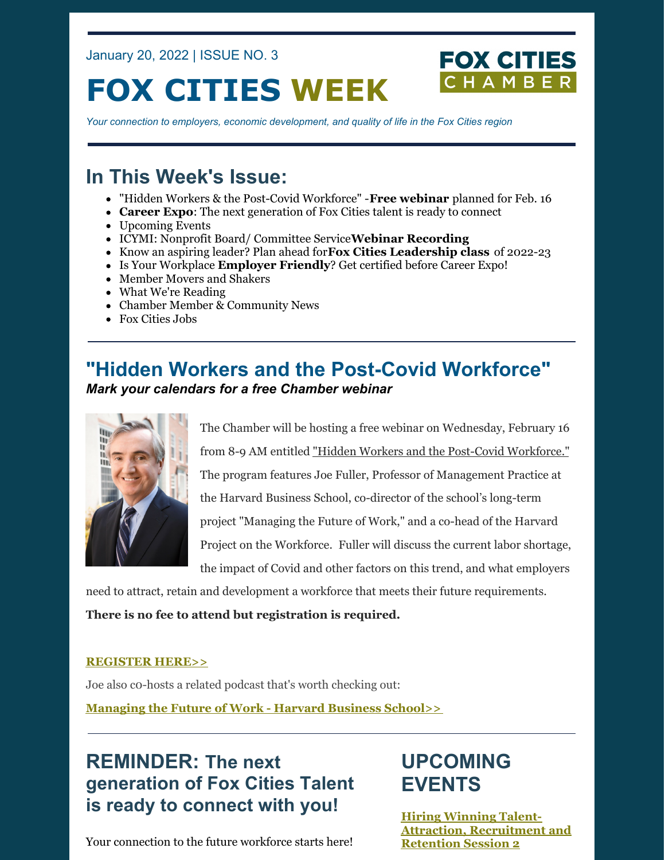January 20, 2022 | ISSUE NO. 3

# **FOX CITIES WEEK**

**FOX CITIES** 

*Your connection to employers, economic development, and quality of life in the Fox Cities region*

# **In This Week's Issue:**

- "Hidden Workers & the Post-Covid Workforce" -**Free webinar** planned for Feb. 16
- **Career Expo**: The next generation of Fox Cities talent is ready to connect
- Upcoming Events
- ICYMI: Nonprofit Board/ Committee Service**Webinar Recording**
- Know an aspiring leader? Plan ahead for**Fox Cities Leadership class** of 2022-23
- Is Your Workplace **Employer Friendly**? Get certified before Career Expo!
- Member Movers and Shakers
- What We're Reading
- Chamber Member & Community News
- Fox Cities Jobs

### **"Hidden Workers and the Post-Covid Workforce"** *Mark your calendars for a free Chamber webinar*



The Chamber will be hosting a free webinar on Wednesday, February 16 from 8-9 AM entitled "Hidden Workers and the Post-Covid [Workforce."](https://business.foxcitieschamber.com/events/details/hidden-workers-and-the-post-covid-workforce-17446) The program features Joe Fuller, Professor of Management Practice at the Harvard Business School, co-director of the school's long-term project "Managing the Future of Work," and a co-head of the Harvard Project on the Workforce. Fuller will discuss the current labor shortage, the impact of Covid and other factors on this trend, and what employers

need to attract, retain and development a workforce that meets their future requirements.

**There is no fee to attend but registration is required.**

#### **[REGISTER](https://us02web.zoom.us/webinar/register/WN_g8clxXuoRF2gJePfol8glQ) HERE>>**

Joe also c0-hosts a related podcast that's worth checking out:

**[Managing](https://www.hbs.edu/managing-the-future-of-work/podcast/Pages/default.aspx) the Future of Work - Harvard Business School>>**

**REMINDER: The next generation of Fox Cities Talent is ready to connect with you!**

### Your connection to the future workforce starts here!

# **UPCOMING EVENTS**

**Hiring Winning Talent-Attraction, [Recruitment](https://business.foxcitieschamber.com/events/details/2022-hiring-winning-talent-attraction-recruitment-and-retention-session-2-17409) and Retention Session 2**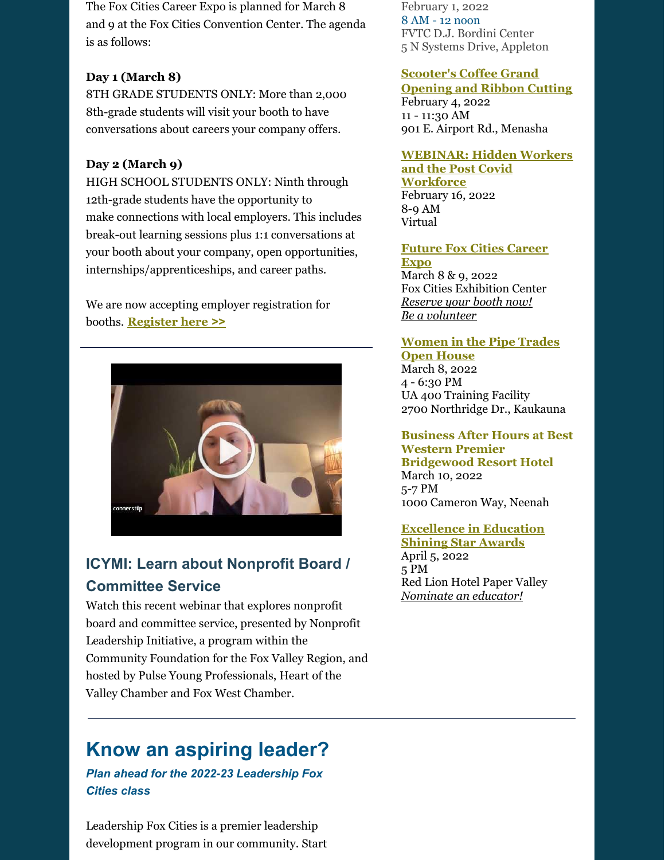The Fox Cities Career Expo is planned for March 8 and 9 at the Fox Cities Convention Center. The agenda is as follows:

### **Day 1 (March 8)**

8TH GRADE STUDENTS ONLY: More than 2,000 8th-grade students will visit your booth to have conversations about careers your company offers.

### **Day 2 (March 9)**

HIGH SCHOOL STUDENTS ONLY: Ninth through 12th-grade students have the opportunity to make connections with local employers. This includes break-out learning sessions plus 1:1 conversations at your booth about your company, open opportunities, internships/apprenticeships, and career paths.

We are now accepting employer registration for booths. **[Register](https://www.jotform.com/form/212994274213154) here >>**



### **ICYMI: Learn about Nonprofit Board / Committee Service**

Watch this recent webinar that explores nonprofit board and committee service, presented by Nonprofit Leadership Initiative, a program within the Community Foundation for the Fox Valley Region, and hosted by Pulse Young Professionals, Heart of the Valley Chamber and Fox West Chamber.

# **Know an aspiring leader?**

*Plan ahead for the 2022-23 Leadership Fox Cities class*

Leadership Fox Cities is a premier leadership development program in our community. Start February 1, 2022 8 AM - 12 noon FVTC D.J. Bordini Center 5 N Systems Drive, Appleton

#### **[Scooter's](https://business.foxcitieschamber.com/events/details/scooter-s-coffee-grand-opening-and-ribbon-cutting-17440) Coffee Grand**

**Opening and Ribbon Cutting** February 4, 2022 11 - 11:30 AM 901 E. Airport Rd., Menasha

### **[WEBINAR:](https://business.foxcitieschamber.com/events/details/hidden-workers-and-the-post-covid-workforce-17446) Hidden Workers**

**and the Post Covid Workforce** February 16, 2022 8-9 AM Virtual

#### **[Future](https://foxcitieschamber.com/talent/future-fox-cities-fox-cities-chamber/) Fox Cities Career Expo**

March 8 & 9, 2022 Fox Cities Exhibition Center *[Reserve](https://form.jotform.com/212994274213154) your booth now! Be a [volunteer](https://form.jotform.com/212994739819172)*

#### **[Women](https://files.constantcontact.com/53abff8e001/f6215e6f-6e1a-4aed-b578-a68a5b8a5200.pdf) in the Pipe Trades Open House** March 8, 2022

4 - 6:30 PM UA 400 Training Facility 2700 Northridge Dr., Kaukauna

### **Business After Hours at Best Western Premier Bridgewood Resort Hotel** March 10, 2022

5-7 PM 1000 Cameron Way, Neenah

### **[Excellence](https://foxcitieschamber.com/talent/excellence-in-education-awards-fox-cities-chamber/) in Education**

**Shining Star Awards** April 5, 2022 5 PM Red Lion Hotel Paper Valley *[Nominate](https://form.jotform.com/213205214034135) an educator!*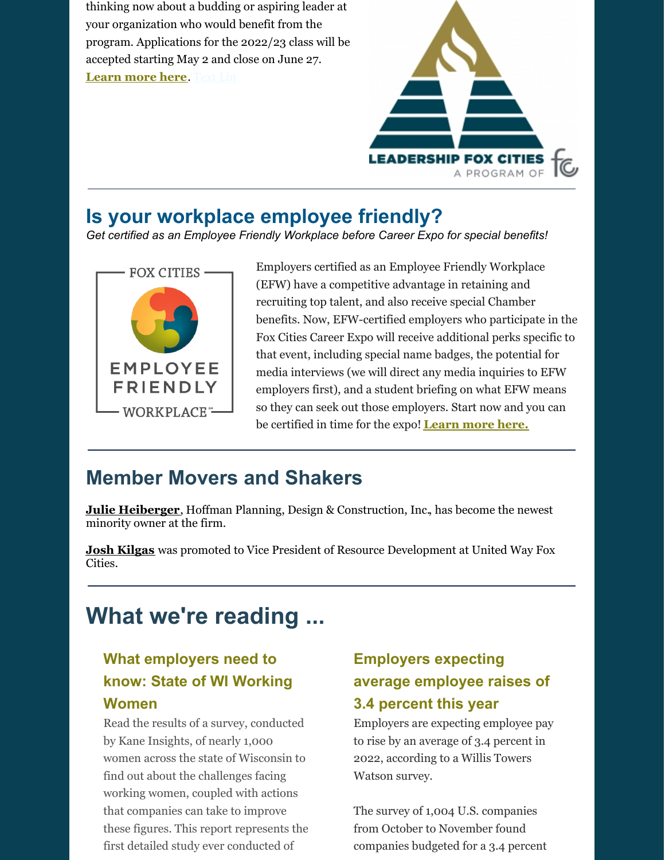thinking now about a budding or aspiring leader at your organization who would benefit from the program. Applications for the 2022/23 class will be accepted starting May 2 and close on June 27. **[Learn](https://foxcitieschamber.com/leadershipfoxcities) more here**. Text Lin



### **Is your workplace employee friendly?**

*Get certified as an Employee Friendly Workplace before Career Expo for special benefits!*



Employers certified as an Employee Friendly Workplace (EFW) have a competitive advantage in retaining and recruiting top talent, and also receive special Chamber benefits. Now, EFW-certified employers who participate in the Fox Cities Career Expo will receive additional perks specific to that event, including special name badges, the potential for media interviews (we will direct any media inquiries to EFW employers first), and a student briefing on what EFW means so they can seek out those employers. Start now and you can be certified in time for the expo! **[Learn](https://foxcitieschamber.com/employee-friendly-workplace) more here.**

# **Member Movers and Shakers**

**Julie [Heiberger](https://foxcitieschamber.com/news/2022/01/19/member-news/heiberger-becomes-minority-owner-at-hoffman/)**, Hoffman Planning, Design & [Construction,](https://www.hoffman.net/en-us/default.aspx) Inc., has become the newest minority owner at the firm.

**Josh [Kilgas](https://foxcitieschamber.com/news/2022/01/19/member-news/josh-kilgas-promoted-at-united-way/)** was promoted to Vice President of Resource Development at United Way Fox Cities.

# **What we're reading ...**

### **What employers need to know: State of WI Working Women**

Read the results of a survey, conducted by Kane Insights, of nearly 1,000 women across the state of Wisconsin to find out about the challenges facing working women, coupled with actions that companies can take to improve these figures. This report represents the first detailed study ever conducted of

### **Employers expecting average employee raises of 3.4 percent this year**

Employers are expecting employee pay to rise by an average of 3.4 percent in 2022, [according](https://www.wtwco.com/en-US/News/2022/01/us-employers-again-boosting-2022-pay-raises-wtw-survey-finds) to a Willis Towers Watson survey.

The survey of 1,004 U.S. companies from October to November found companies budgeted for a 3.4 percent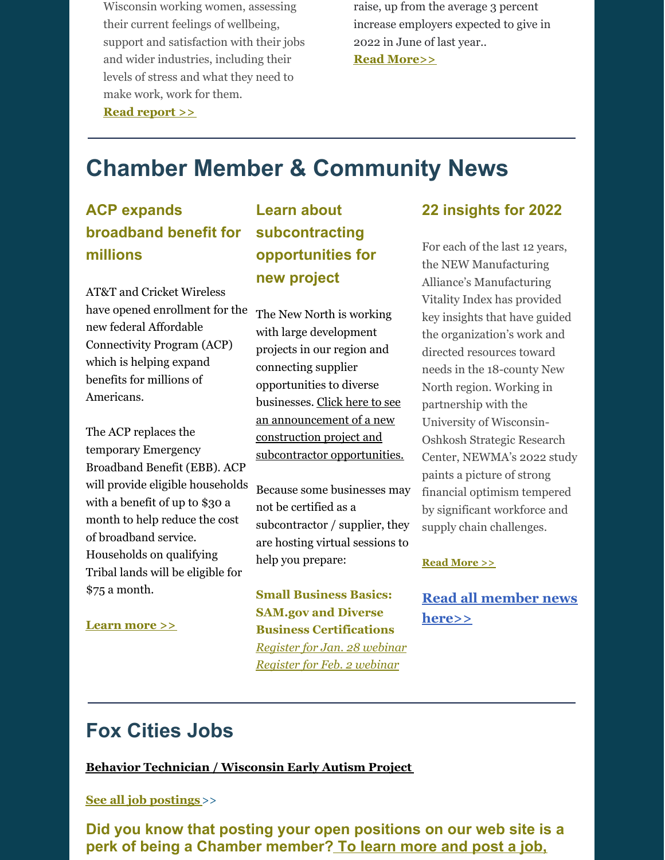Wisconsin working women, assessing their current feelings of wellbeing, support and satisfaction with their jobs and wider industries, including their levels of stress and what they need to make work, work for them. **Read [report](https://www.kanecommgroup.com/kane-insights) >>**

raise, up from the average 3 percent increase employers expected to give in 2022 in June of last year..

**Read [More>>](https://thehill.com/policy/finance/590250-employers-expecting-average-employee-raises-of-34-percent-this-year-survey)**

# **Chamber Member & Community News**

### **ACP expands broadband benefit for millions**

AT&T and Cricket Wireless have opened enrollment for the new federal Affordable Connectivity Program (ACP) which is helping expand benefits for millions of Americans.

The ACP replaces the temporary Emergency Broadband Benefit (EBB). ACP will provide eligible households with a benefit of up to \$30 a month to help reduce the cost of broadband service. Households on qualifying Tribal lands will be eligible for \$75 a month.

#### **[Learn](https://about.att.com/story/2021/affordable-connectivity-program-participation.html) more >>**

### **Learn about subcontracting opportunities for new project**

The New North is working with large development projects in our region and connecting supplier opportunities to diverse businesses. Click here to see an [announcement](https://files.constantcontact.com/53abff8e001/6c0b79ee-5dff-489b-9e55-caa8634e643b.pdf) of a new construction project and subcontractor opportunities.

Because some businesses may not be certified as a subcontractor / supplier, they are hosting virtual sessions to help you prepare:

**Small Business Basics: SAM.gov and Diverse Business Certifications** *[Register](https://www.wispro.org/event/small-business-basics-sam-gov-and-diverse-business-certifications-virtual-2/) for Jan. 28 webinar [Register](https://www.wispro.org/event/small-business-basics-sam-gov-and-diverse-business-certifications-virtual/) for Feb. 2 webinar*

### **22 insights for 2022**

For each of the last 12 years, the NEW Manufacturing Alliance's Manufacturing Vitality Index has provided key insights that have guided the organization's work and directed resources toward needs in the 18-county New North region. Working in partnership with the University of Wisconsin-Oshkosh Strategic Research Center, NEWMA's 2022 study paints a picture of strong financial optimism tempered by significant workforce and supply chain challenges.

#### **Read [More](https://www.insightonbusiness.com/insightonmanufacturing/articles/coverstory/22-insights-for-2022/article_a834c0bc-73cb-11ec-9320-6385dfe071cc.html) >>**

**Read all [member](https://foxcitieschamber.com/news/1/) news here>>**

# **Fox Cities Jobs**

**Behavior [Technician](http://foxcitieschamber.chambermaster.com/jobs/info/healthcare-behavior-technician-4861) / Wisconsin Early Autism Project**

#### **See all job [postings](http://foxcitieschamber.chambermaster.com/jobs?o=Date&d=1)**>>

**Did you know that posting your open [positions](https://foxcitieschamber.com/membertoolkit) on our web site is a perk of being a Chamber [member?](https://foxcitieschamber.com/membertoolkit) To learn more and post a job,**